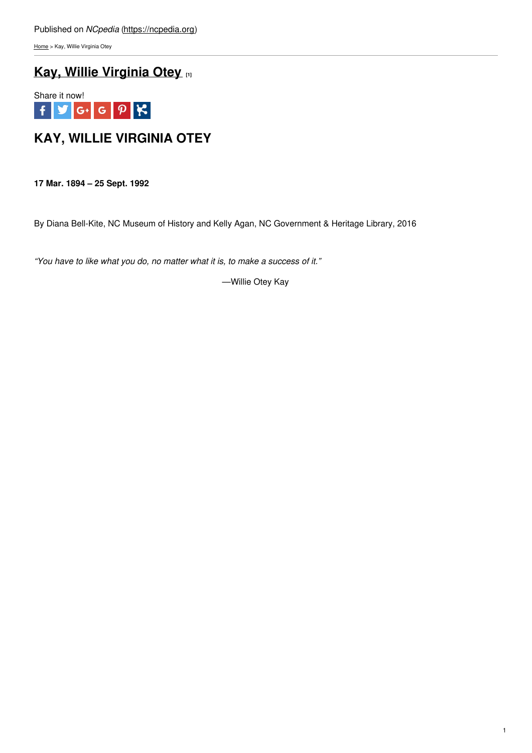[Home](https://ncpedia.org/) > Kay, Willie Virginia Otey

# **Kay, Willie [Virginia](https://ncpedia.org/kay-willie-virginia-otey) Otey [1]**



# **KAY, WILLIE VIRGINIA OTEY**

**17 Mar. 1894 – 25 Sept. 1992**

By Diana Bell-Kite, NC Museum of History and Kelly Agan, NC Government & Heritage Library, 2016

*"You have to like what you do, no matter what it is, to make a success of it."*

—Willie Otey Kay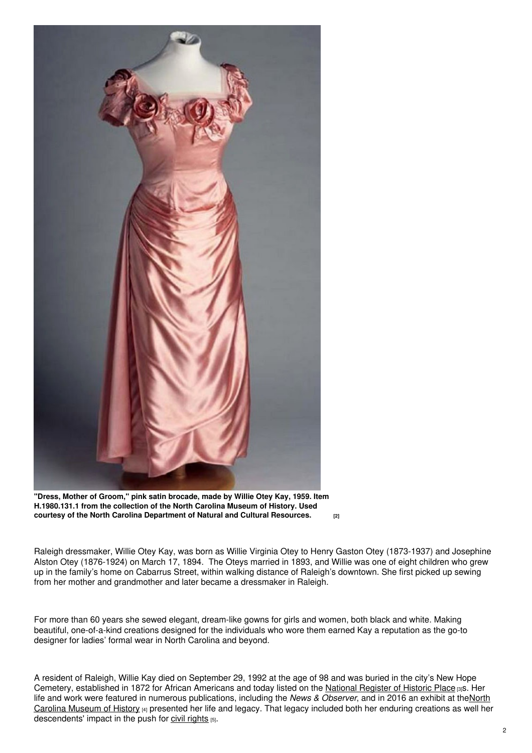

**"Dress, Mother of Groom," pink satin brocade, made by Willie Otey Kay, 1959. Item H.1980.131.1 from the collection of the North Carolina Museum of History. Used courtesy of the North Carolina [Department](https://collections.ncdcr.gov/RediscoveryProficioPublicSearch/ShowItem.aspx?71931+&71931+) of Natural and Cultural Resources. [2]**

Raleigh dressmaker, Willie Otey Kay, was born as Willie Virginia Otey to Henry Gaston Otey (1873-1937) and Josephine Alston Otey (1876-1924) on March 17, 1894. The Oteys married in 1893, and Willie was one of eight children who grew up in the family's home on Cabarrus Street, within walking distance of Raleigh's downtown. She first picked up sewing from her mother and grandmother and later became a dressmaker in Raleigh.

For more than 60 years she sewed elegant, dream-like gowns for girls and women, both black and white. Making beautiful, one-of-a-kind creations designed for the individuals who wore them earned Kay a reputation as the go-to designer for ladies' formal wear in North Carolina and beyond.

A resident of Raleigh, Willie Kay died on September 29, 1992 at the age of 98 and was buried in the city's New Hope Cemetery, established in 1872 for African Americans and today listed on the National [Register](https://ncpedia.org/national-register-historic-places-north-carolina) of Historic Place [3]S. Her life and work were featured in numerous [publications,](https://ncpedia.org/north-carolina-museum-history) including the *News & Observer*, and in 2016 an exhibit at theNorth Carolina Museum of History [4] presented her life and legacy. That legacy included both her enduring creations as well her descendents' impact in the push for civil [rights](https://ncpedia.org/history/20th-Century/african-american-civil-rights) [5].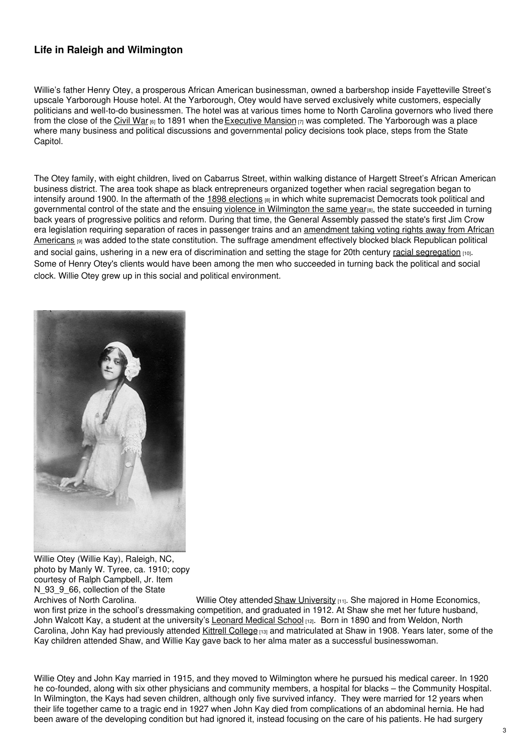# **Life in Raleigh and Wilmington**

Willie's father Henry Otey, a prosperous African American businessman, owned a barbershop inside Fayetteville Street's upscale Yarborough House hotel. At the Yarborough, Otey would have served exclusively white customers, especially politicians and well-to-do businessmen. The hotel was at various times home to North Carolina governors who lived there from the close of the [Civil](https://ncpedia.org/history/cw-1900/civil-war) War  $_{[6]}$  to 1891 when the [Executive](https://ncpedia.org/governors-mansion) Mansion  $_{[7]}$  was completed. The Yarborough was a place where many business and political discussions and governmental policy decisions took place, steps from the State Capitol.

The Otey family, with eight children, lived on Cabarrus Street, within walking distance of Hargett Street's African American business district. The area took shape as black entrepreneurs organized together when racial segregation began to intensify around 1900. In the aftermath of the  $1898$  [elections](https://ncpedia.org/history/cw-1900/wilmington-massacre-1898)  $_{[8]}$  in which white supremacist Democrats took political and governmental control of the state and the ensuing violence in [Wilmington](https://ncpedia.org/history/cw-1900/wilmington-massacre-1898) the same year<sub>[8]</sub>, the state succeeded in turning back years of progressive politics and reform. During that time, the General Assembly passed the state's first Jim Crow era legislation requiring separation of races in passenger trains and an [amendment](https://ncpedia.org/disfranchisement) taking voting rights away from African Americans **[9]** was added to the state constitution. The suffrage amendment effectively blocked black Republican political and social gains, ushering in a new era of discrimination and setting the stage for 20th century racial [segregation](https://ncpedia.org/history/20th-Century/segregation-1920s) [10]. Some of Henry Otey's clients would have been among the men who succeeded in turning back the political and social clock. Willie Otey grew up in this social and political environment.



Willie Otey (Willie Kay), Raleigh, NC, photo by Manly W. Tyree, ca. 1910; copy courtesy of Ralph Campbell, Jr. Item N 93 9 66, collection of the State

Archives of North Carolina. Willie Otey attended Shaw [University](https://ncpedia.org/shaw-university) [11]. She majored in Home Economics, won first prize in the school's dressmaking competition, and graduated in 1912. At Shaw she met her future husband, John Walcott Kay, a student at the university's [Leonard](https://ncpedia.org/leonard-medical-school) Medical School [12]. Born in 1890 and from Weldon, North Carolina, John Kay had previously attended Kittrell [College](https://ncpedia.org/kittrell-college) [13] and matriculated at Shaw in 1908. Years later, some of the Kay children attended Shaw, and Willie Kay gave back to her alma mater as a successful businesswoman.

Willie Otey and John Kay married in 1915, and they moved to Wilmington where he pursued his medical career. In 1920 he co-founded, along with six other physicians and community members, a hospital for blacks – the Community Hospital. In Wilmington, the Kays had seven children, although only five survived infancy. They were married for 12 years when their life together came to a tragic end in 1927 when John Kay died from complications of an abdominal hernia. He had been aware of the developing condition but had ignored it, instead focusing on the care of his patients. He had surgery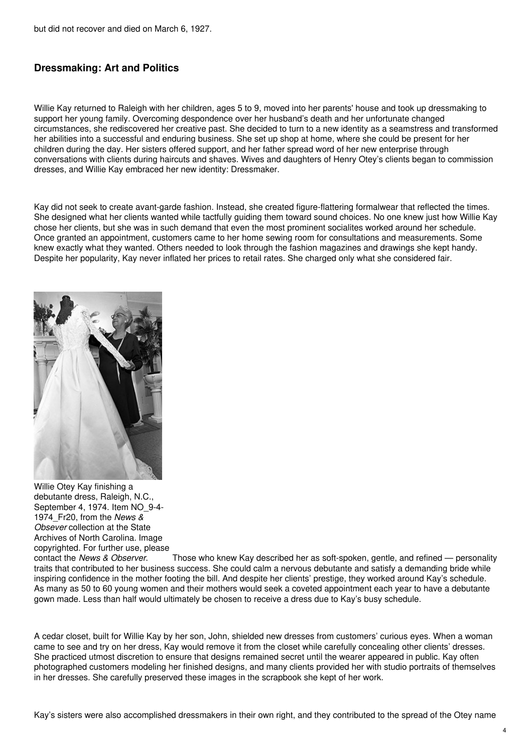## **Dressmaking: Art and Politics**

Willie Kay returned to Raleigh with her children, ages 5 to 9, moved into her parents' house and took up dressmaking to support her young family. Overcoming despondence over her husband's death and her unfortunate changed circumstances, she rediscovered her creative past. She decided to turn to a new identity as a seamstress and transformed her abilities into a successful and enduring business. She set up shop at home, where she could be present for her children during the day. Her sisters offered support, and her father spread word of her new enterprise through conversations with clients during haircuts and shaves. Wives and daughters of Henry Otey's clients began to commission dresses, and Willie Kay embraced her new identity: Dressmaker.

Kay did not seek to create avant-garde fashion. Instead, she created figure-flattering formalwear that reflected the times. She designed what her clients wanted while tactfully guiding them toward sound choices. No one knew just how Willie Kay chose her clients, but she was in such demand that even the most prominent socialites worked around her schedule. Once granted an appointment, customers came to her home sewing room for consultations and measurements. Some knew exactly what they wanted. Others needed to look through the fashion magazines and drawings she kept handy. Despite her popularity, Kay never inflated her prices to retail rates. She charged only what she considered fair.



Willie Otey Kay finishing a debutante dress, Raleigh, N.C., September 4, 1974. Item NO 9-4-1974\_Fr20, from the *News & Obsever* collection at the State Archives of North Carolina. Image copyrighted. For further use, please<br>contact the News & Observer.

Those who knew Kay described her as soft-spoken, gentle, and refined — personality traits that contributed to her business success. She could calm a nervous debutante and satisfy a demanding bride while inspiring confidence in the mother footing the bill. And despite her clients' prestige, they worked around Kay's schedule. As many as 50 to 60 young women and their mothers would seek a coveted appointment each year to have a debutante gown made. Less than half would ultimately be chosen to receive a dress due to Kay's busy schedule.

A cedar closet, built for Willie Kay by her son, John, shielded new dresses from customers' curious eyes. When a woman came to see and try on her dress, Kay would remove it from the closet while carefully concealing other clients' dresses. She practiced utmost discretion to ensure that designs remained secret until the wearer appeared in public. Kay often photographed customers modeling her finished designs, and many clients provided her with studio portraits of themselves in her dresses. She carefully preserved these images in the scrapbook she kept of her work.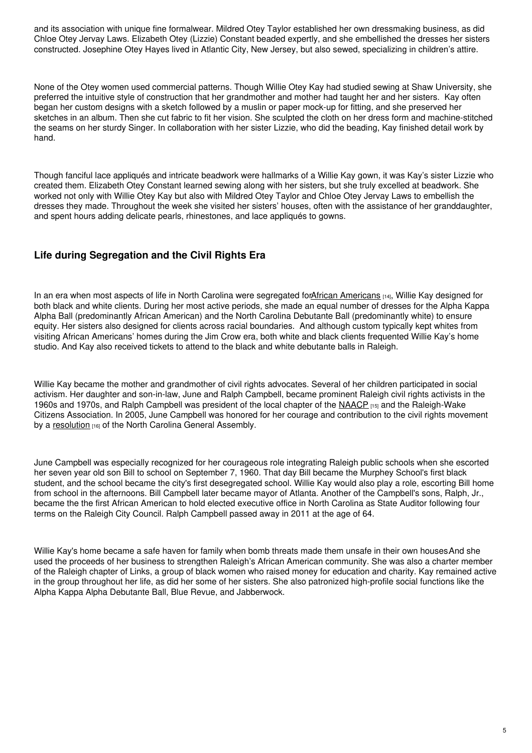and its association with unique fine formalwear. Mildred Otey Taylor established her own dressmaking business, as did Chloe Otey Jervay Laws. Elizabeth Otey (Lizzie) Constant beaded expertly, and she embellished the dresses her sisters constructed. Josephine Otey Hayes lived in Atlantic City, New Jersey, but also sewed, specializing in children's attire.

None of the Otey women used commercial patterns. Though Willie Otey Kay had studied sewing at Shaw University, she preferred the intuitive style of construction that her grandmother and mother had taught her and her sisters. Kay often began her custom designs with a sketch followed by a muslin or paper mock-up for fitting, and she preserved her sketches in an album. Then she cut fabric to fit her vision. She sculpted the cloth on her dress form and machine-stitched the seams on her sturdy Singer. In collaboration with her sister Lizzie, who did the beading, Kay finished detail work by hand.

Though fanciful lace appliqués and intricate beadwork were hallmarks of a Willie Kay gown, it was Kay's sister Lizzie who created them. Elizabeth Otey Constant learned sewing along with her sisters, but she truly excelled at beadwork. She worked not only with Willie Otey Kay but also with Mildred Otey Taylor and Chloe Otey Jervay Laws to embellish the dresses they made. Throughout the week she visited her sisters' houses, often with the assistance of her granddaughter, and spent hours adding delicate pearls, rhinestones, and lace appliqués to gowns.

# **Life during Segregation and the Civil Rights Era**

In an era when most aspects of life in North Carolina were segregated forAfrican [Americans](https://ncpedia.org/african-americans/introduction) [14], Willie Kay designed for both black and white clients. During her most active periods, she made an equal number of dresses for the Alpha Kappa Alpha Ball (predominantly African American) and the North Carolina Debutante Ball (predominantly white) to ensure equity. Her sisters also designed for clients across racial boundaries. And although custom typically kept whites from visiting African Americans' homes during the Jim Crow era, both white and black clients frequented Willie Kay's home studio. And Kay also received tickets to attend to the black and white debutante balls in Raleigh.

Willie Kay became the mother and grandmother of civil rights advocates. Several of her children participated in social activism. Her daughter and son-in-law, June and Ralph Campbell, became prominent Raleigh civil rights activists in the 1960s and 1970s, and Ralph Campbell was president of the local chapter of the [NAACP](https://ncpedia.org/national-association-advancement-co) [15] and the Raleigh-Wake Citizens Association. In 2005, June Campbell was honored for her courage and contribution to the civil rights movement by a [resolution](https://www.ncleg.net/Sessions/2005/Bills/House/PDF/H1118v3.pdf) [16] of the North Carolina General Assembly.

June Campbell was especially recognized for her courageous role integrating Raleigh public schools when she escorted her seven year old son Bill to school on September 7, 1960. That day Bill became the Murphey School's first black student, and the school became the city's first desegregated school. Willie Kay would also play a role, escorting Bill home from school in the afternoons. Bill Campbell later became mayor of Atlanta. Another of the Campbell's sons, Ralph, Jr., became the the first African American to hold elected executive office in North Carolina as State Auditor following four terms on the Raleigh City Council. Ralph Campbell passed away in 2011 at the age of 64.

Willie Kay's home became a safe haven for family when bomb threats made them unsafe in their own houses And she used the proceeds of her business to strengthen Raleigh's African American community. She was also a charter member of the Raleigh chapter of Links, a group of black women who raised money for education and charity. Kay remained active in the group throughout her life, as did her some of her sisters. She also patronized high-profile social functions like the Alpha Kappa Alpha Debutante Ball, Blue Revue, and Jabberwock.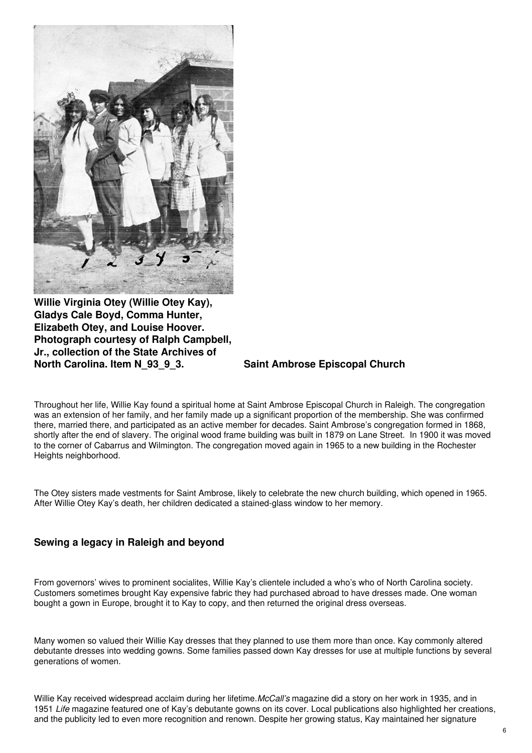

**Willie Virginia Otey (Willie Otey Kay), Gladys Cale Boyd, Comma Hunter, Elizabeth Otey, and Louise Hoover. Photograph courtesy of Ralph Campbell, Jr., collection of the State Archives of North Carolina. Item N\_93\_9\_3. Saint Ambrose Episcopal Church**

Throughout her life, Willie Kay found a spiritual home at Saint Ambrose Episcopal Church in Raleigh. The congregation was an extension of her family, and her family made up a significant proportion of the membership. She was confirmed there, married there, and participated as an active member for decades. Saint Ambrose's congregation formed in 1868, shortly after the end of slavery. The original wood frame building was built in 1879 on Lane Street. In 1900 it was moved to the corner of Cabarrus and Wilmington. The congregation moved again in 1965 to a new building in the Rochester Heights neighborhood.

The Otey sisters made vestments for Saint Ambrose, likely to celebrate the new church building, which opened in 1965. After Willie Otey Kay's death, her children dedicated a stained-glass window to her memory.

## **Sewing a legacy in Raleigh and beyond**

From governors' wives to prominent socialites, Willie Kay's clientele included a who's who of North Carolina society. Customers sometimes brought Kay expensive fabric they had purchased abroad to have dresses made. One woman bought a gown in Europe, brought it to Kay to copy, and then returned the original dress overseas.

Many women so valued their Willie Kay dresses that they planned to use them more than once. Kay commonly altered debutante dresses into wedding gowns. Some families passed down Kay dresses for use at multiple functions by several generations of women.

Willie Kay received widespread acclaim during her lifetime.*McCall's* magazine did a story on her work in 1935, and in 1951 *Life* magazine featured one of Kay's debutante gowns on its cover. Local publications also highlighted her creations, and the publicity led to even more recognition and renown. Despite her growing status, Kay maintained her signature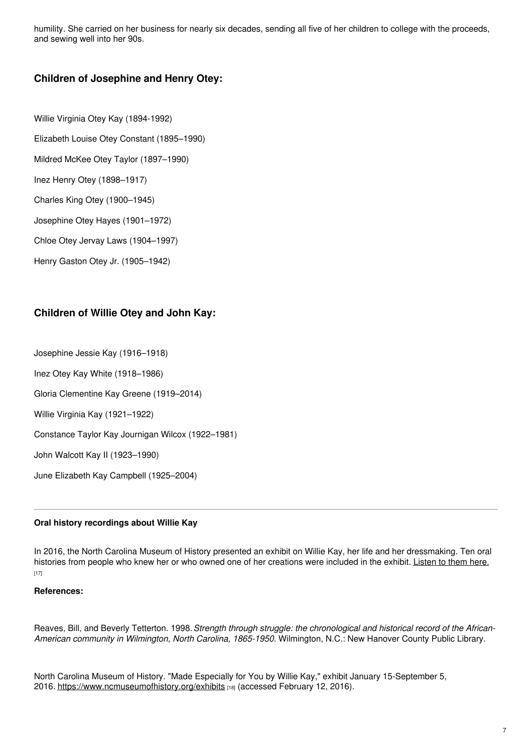humility. She carried on her business for nearly six decades, sending all five of her children to college with the proceeds, and sewing well into her 90s.

## **Children of Josephine and Henry Otey:**

- Willie Virginia Otey Kay (1894-1992)
- Elizabeth Louise Otey Constant (1895–1990)
- Mildred McKee Otey Taylor (1897–1990)
- Inez Henry Otey (1898–1917)
- Charles King Otey (1900–1945)
- Josephine Otey Hayes (1901–1972)
- Chloe Otey Jervay Laws (1904–1997)
- Henry Gaston Otey Jr. (1905–1942)

# **Children of Willie Otey and John Kay:**

Josephine Jessie Kay (1916–1918)

- Inez Otey Kay White (1918–1986)
- Gloria Clementine Kay Greene (1919–2014)
- Willie Virginia Kay (1921–1922)
- Constance Taylor Kay Journigan Wilcox (1922–1981)
- John Walcott Kay II (1923–1990)
- June Elizabeth Kay Campbell (1925–2004)

### **Oral history recordings about Willie Kay**

In 2016, the North Carolina Museum of History presented an exhibit on Willie Kay, her life and her dressmaking. Ten oral histories from people who knew her or who owned one of her creations were included in the exhibit. [Listen](https://www.youtube.com/playlist?list=PL2pN1beRTrtTnvyhdymcDkW8tXq2vJBfd) to them here. [17]

### **References:**

Reaves, Bill, and Beverly Tetterton. 1998.*Strength through struggle: the chronological and historical record of the African-American community in Wilmington, North Carolina, 1865-1950.* Wilmington, N.C.: New Hanover County Public Library.

North Carolina Museum of History. "Made Especially for You by Willie Kay," exhibit January 15-September 5, 2016. <https://www.ncmuseumofhistory.org/exhibits> [18] (accessed February 12, 2016).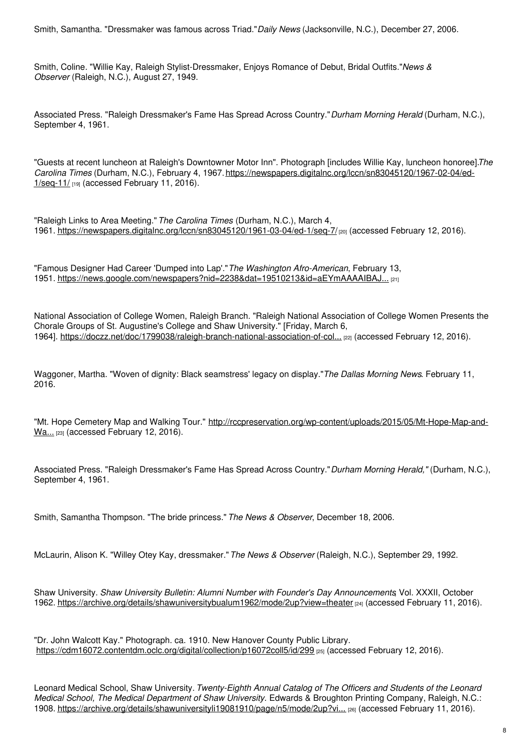Smith, Samantha. "Dressmaker was famous across Triad."*Daily News* (Jacksonville, N.C.), December 27, 2006.

Smith, Coline. "Willie Kay, Raleigh Stylist-Dressmaker, Enjoys Romance of Debut, Bridal Outfits."*News & Observer* (Raleigh, N.C.), August 27, 1949.

Associated Press. "Raleigh Dressmaker's Fame Has Spread Across Country."*Durham Morning Herald* (Durham, N.C.), September 4, 1961.

"Guests at recent luncheon at Raleigh's Downtowner Motor Inn". Photograph [includes Willie Kay, luncheon honoree].*The Carolina Times* (Durham, N.C.), February 4, 1967. [https://newspapers.digitalnc.org/lccn/sn83045120/1967-02-04/ed-](https://newspapers.digitalnc.org/lccn/sn83045120/1967-02-04/ed-1/seq-11/)1/seq-11/ [19] (accessed February 11, 2016).

"Raleigh Links to Area Meeting."*The Carolina Times* (Durham, N.C.), March 4, 1961. <https://newspapers.digitalnc.org/lccn/sn83045120/1961-03-04/ed-1/seq-7/> [20] (accessed February 12, 2016).

"Famous Designer Had Career 'Dumped into Lap'."*The Washington Afro-American*, February 13, 1951. [https://news.google.com/newspapers?nid=2238&dat=19510213&id=aEYmAAAAIBAJ...](https://news.google.com/newspapers?nid=2238&dat=19510213&id=aEYmAAAAIBAJ&sjid=qv4FAAAAIBAJ&pg=3518,3727667&hl=en) [21]

National Association of College Women, Raleigh Branch. "Raleigh National Association of College Women Presents the Chorale Groups of St. Augustine's College and Shaw University." [Friday, March 6, 1964]. [https://doczz.net/doc/1799038/raleigh-branch-national-association-of-col...](https://doczz.net/doc/1799038/raleigh-branch-national-association-of-college-women) [22] (accessed February 12, 2016).

Waggoner, Martha. "Woven of dignity: Black seamstress' legacy on display."*The Dallas Morning News*. February 11, 2016.

"Mt. Hope Cemetery Map and Walking Tour." [http://rccpreservation.org/wp-content/uploads/2015/05/Mt-Hope-Map-and-](http://rccpreservation.org/wp-content/uploads/2015/05/Mt-Hope-Map-and-Walking-Tour-.pdf)Wa... [23] (accessed February 12, 2016).

Associated Press. "Raleigh Dressmaker's Fame Has Spread Across Country."*Durham Morning Herald,"* (Durham, N.C.), September 4, 1961.

Smith, Samantha Thompson. "The bride princess."*The News & Observer*, December 18, 2006.

McLaurin, Alison K. "Willey Otey Kay, dressmaker."*The News & Observer* (Raleigh, N.C.), September 29, 1992.

Shaw University. *Shaw University Bulletin: Alumni Number with Founder's Day Announcements*, Vol. XXXII, October 1962. <https://archive.org/details/shawuniversitybualum1962/mode/2up?view=theater> [24] (accessed February 11, 2016).

"Dr. John Walcott Kay." Photograph. ca. 1910. New Hanover County Public Library. <https://cdm16072.contentdm.oclc.org/digital/collection/p16072coll5/id/299> [25] (accessed February 12, 2016).

Leonard Medical School, Shaw University. *Twenty-Eighth Annual Catalog of The Officers and Students of the Leonard Medical School, The Medical Department of Shaw University.* Edwards & Broughton Printing Company, Raleigh, N.C.: 1908. [https://archive.org/details/shawuniversityli19081910/page/n5/mode/2up?vi...](https://archive.org/details/shawuniversityli19081910/page/n5/mode/2up?view=theater) [26] (accessed February 11, 2016).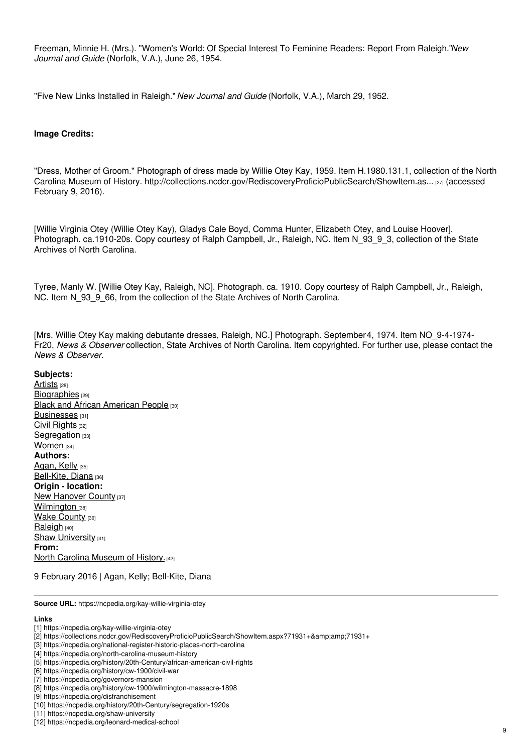Freeman, Minnie H. (Mrs.). "Women's World: Of Special Interest To Feminine Readers: Report From Raleigh."*New Journal and Guide* (Norfolk, V.A.), June 26, 1954.

"Five New Links Installed in Raleigh." *New Journal and Guide* (Norfolk, V.A.), March 29, 1952.

### **Image Credits:**

"Dress, Mother of Groom." Photograph of dress made by Willie Otey Kay, 1959. Item H.1980.131.1, collection of the North Carolina Museum of History. [http://collections.ncdcr.gov/RediscoveryProficioPublicSearch/ShowItem.as...](http://collections.ncdcr.gov/RediscoveryProficioPublicSearch/ShowItem.aspx?71931+) [27] (accessed February 9, 2016).

[Willie Virginia Otey (Willie Otey Kay), Gladys Cale Boyd, Comma Hunter, Elizabeth Otey, and Louise Hoover]. Photograph. ca.1910-20s. Copy courtesy of Ralph Campbell, Jr., Raleigh, NC. Item N\_93\_9\_3, collection of the State Archives of North Carolina.

Tyree, Manly W. [Willie Otey Kay, Raleigh, NC]. Photograph. ca. 1910. Copy courtesy of Ralph Campbell, Jr., Raleigh, NC. Item N\_93\_9\_66, from the collection of the State Archives of North Carolina.

[Mrs. Willie Otey Kay making debutante dresses, Raleigh, NC.] Photograph. September4, 1974. Item NO\_9-4-1974- Fr20, *News & Observer* collection, State Archives of North Carolina. Item copyrighted. For further use, please contact the *News & Observer*.

#### **Subjects:**

[Artists](https://ncpedia.org/category/subjects/artist) [28] [Biographies](https://ncpedia.org/category/subjects/biography-term) [29] **Black and African [American](https://ncpedia.org/category/subjects/african-americans) People [30]** [Businesses](https://ncpedia.org/category/subjects/businesses) [31] Civil [Rights](https://ncpedia.org/category/subjects/civil-rights) [32] [Segregation](https://ncpedia.org/category/subjects/segregation) [33] [Women](https://ncpedia.org/category/subjects/women) [34] **Authors:** [Agan,](https://ncpedia.org/category/authors/agan-kelly) Kelly [35] [Bell-Kite,](https://ncpedia.org/category/authors/bell-kite-diana) Diana [36] **Origin - location:** New [Hanover](https://ncpedia.org/category/origin-location/coastal--7) County [37] [Wilmington](https://ncpedia.org/category/origin-location/coastal-39) [38] Wake [County](https://ncpedia.org/category/origin-location/piedmont/w) [39] [Raleigh](https://ncpedia.org/category/origin-location/piedmont-0) [40] Shaw [University](https://ncpedia.org/category/origin-location/piedmon-48) [41] **From:** North Carolina [Museum](https://ncpedia.org/category/entry-source/north-1) of History. [42]

9 February 2016 | Agan, Kelly; Bell-Kite, Diana

**Source URL:** https://ncpedia.org/kay-willie-virginia-otey

#### **Links**

9

<sup>[1]</sup> https://ncpedia.org/kay-willie-virginia-otey

<sup>[2]</sup> https://collections.ncdcr.gov/RediscoveryProficioPublicSearch/ShowItem.aspx?71931+&71931+

<sup>[3]</sup> https://ncpedia.org/national-register-historic-places-north-carolina

<sup>[4]</sup> https://ncpedia.org/north-carolina-museum-history

<sup>[5]</sup> https://ncpedia.org/history/20th-Century/african-american-civil-rights

<sup>[6]</sup> https://ncpedia.org/history/cw-1900/civil-war

<sup>[7]</sup> https://ncpedia.org/governors-mansion

<sup>[8]</sup> https://ncpedia.org/history/cw-1900/wilmington-massacre-1898

<sup>[9]</sup> https://ncpedia.org/disfranchisement

<sup>[10]</sup> https://ncpedia.org/history/20th-Century/segregation-1920s

<sup>[11]</sup> https://ncpedia.org/shaw-university [12] https://ncpedia.org/leonard-medical-school